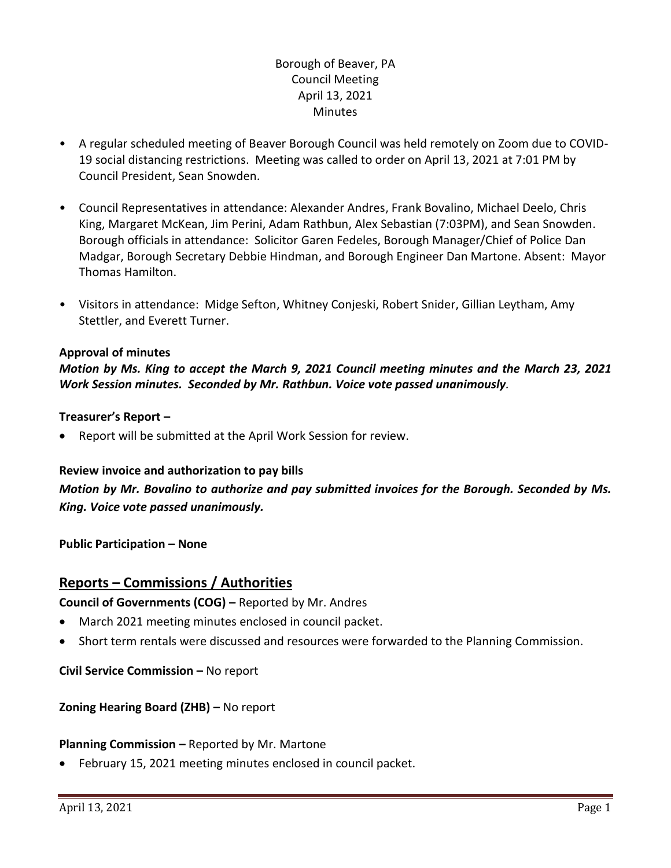# Borough of Beaver, PA Council Meeting April 13, 2021 **Minutes**

- A regular scheduled meeting of Beaver Borough Council was held remotely on Zoom due to COVID-19 social distancing restrictions. Meeting was called to order on April 13, 2021 at 7:01 PM by Council President, Sean Snowden.
- Council Representatives in attendance: Alexander Andres, Frank Bovalino, Michael Deelo, Chris King, Margaret McKean, Jim Perini, Adam Rathbun, Alex Sebastian (7:03PM), and Sean Snowden. Borough officials in attendance: Solicitor Garen Fedeles, Borough Manager/Chief of Police Dan Madgar, Borough Secretary Debbie Hindman, and Borough Engineer Dan Martone. Absent: Mayor Thomas Hamilton.
- Visitors in attendance: Midge Sefton, Whitney Conjeski, Robert Snider, Gillian Leytham, Amy Stettler, and Everett Turner.

### **Approval of minutes**

*Motion by Ms. King to accept the March 9, 2021 Council meeting minutes and the March 23, 2021 Work Session minutes. Seconded by Mr. Rathbun. Voice vote passed unanimously.* 

#### **Treasurer's Report –**

Report will be submitted at the April Work Session for review.

#### **Review invoice and authorization to pay bills**

*Motion by Mr. Bovalino to authorize and pay submitted invoices for the Borough. Seconded by Ms. King. Voice vote passed unanimously.*

**Public Participation – None**

# **Reports – Commissions / Authorities**

**Council of Governments (COG) –** Reported by Mr. Andres

- March 2021 meeting minutes enclosed in council packet.
- Short term rentals were discussed and resources were forwarded to the Planning Commission.

**Civil Service Commission –** No report

### **Zoning Hearing Board (ZHB) –** No report

#### **Planning Commission –** Reported by Mr. Martone

February 15, 2021 meeting minutes enclosed in council packet.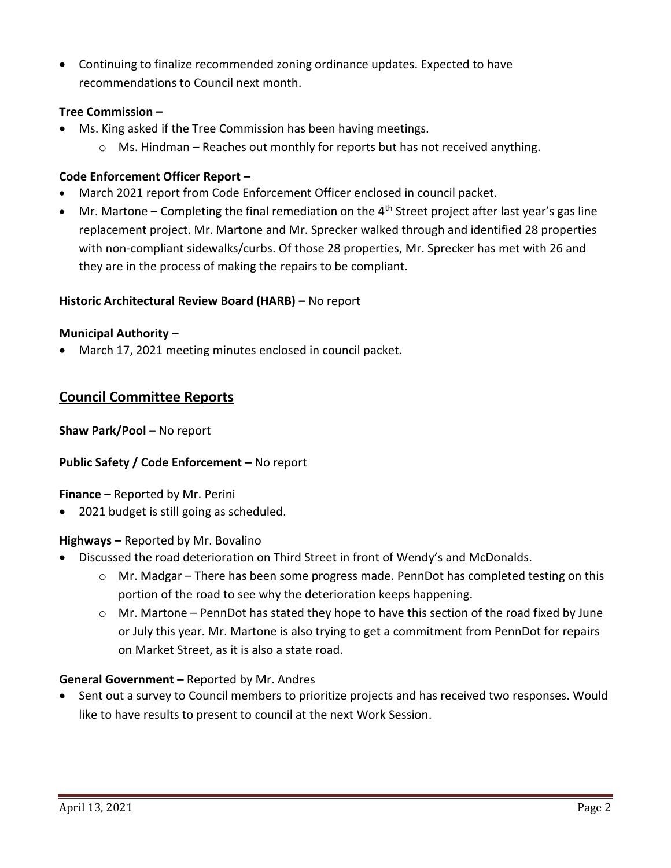Continuing to finalize recommended zoning ordinance updates. Expected to have recommendations to Council next month.

### **Tree Commission –**

- Ms. King asked if the Tree Commission has been having meetings.
	- $\circ$  Ms. Hindman Reaches out monthly for reports but has not received anything.

### **Code Enforcement Officer Report –**

- March 2021 report from Code Enforcement Officer enclosed in council packet.
- $\bullet$  Mr. Martone Completing the final remediation on the 4<sup>th</sup> Street project after last year's gas line replacement project. Mr. Martone and Mr. Sprecker walked through and identified 28 properties with non-compliant sidewalks/curbs. Of those 28 properties, Mr. Sprecker has met with 26 and they are in the process of making the repairs to be compliant.

#### **Historic Architectural Review Board (HARB) –** No report

#### **Municipal Authority –**

March 17, 2021 meeting minutes enclosed in council packet.

# **Council Committee Reports**

**Shaw Park/Pool –** No report

#### **Public Safety / Code Enforcement –** No report

**Finance** – Reported by Mr. Perini

2021 budget is still going as scheduled.

#### **Highways –** Reported by Mr. Bovalino

- Discussed the road deterioration on Third Street in front of Wendy's and McDonalds.
	- $\circ$  Mr. Madgar There has been some progress made. PennDot has completed testing on this portion of the road to see why the deterioration keeps happening.
	- $\circ$  Mr. Martone PennDot has stated they hope to have this section of the road fixed by June or July this year. Mr. Martone is also trying to get a commitment from PennDot for repairs on Market Street, as it is also a state road.

#### **General Government –** Reported by Mr. Andres

 Sent out a survey to Council members to prioritize projects and has received two responses. Would like to have results to present to council at the next Work Session.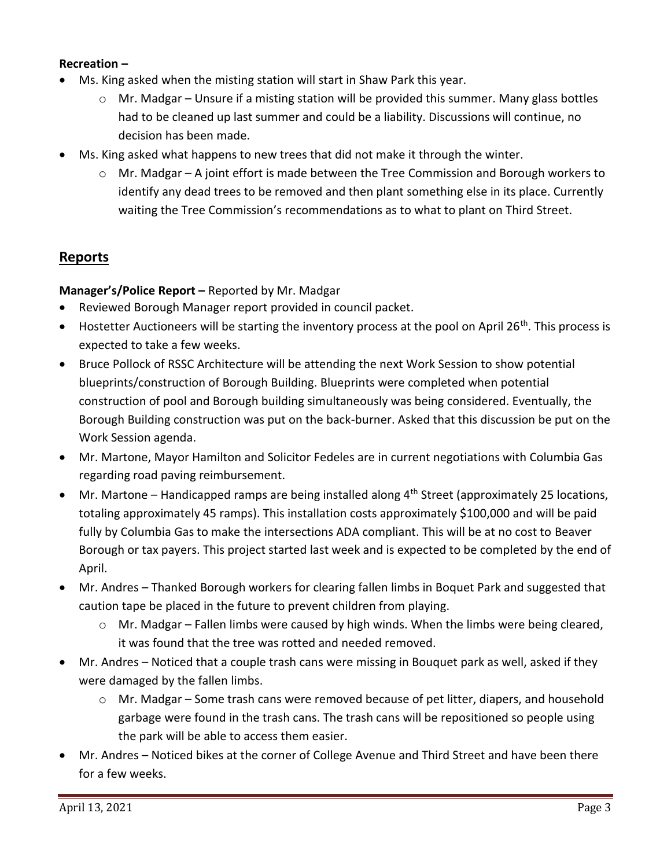### **Recreation –**

- Ms. King asked when the misting station will start in Shaw Park this year.
	- $\circ$  Mr. Madgar Unsure if a misting station will be provided this summer. Many glass bottles had to be cleaned up last summer and could be a liability. Discussions will continue, no decision has been made.
- Ms. King asked what happens to new trees that did not make it through the winter.
	- $\circ$  Mr. Madgar A joint effort is made between the Tree Commission and Borough workers to identify any dead trees to be removed and then plant something else in its place. Currently waiting the Tree Commission's recommendations as to what to plant on Third Street.

# **Reports**

#### **Manager's/Police Report –** Reported by Mr. Madgar

- Reviewed Borough Manager report provided in council packet.
- $\bullet$  Hostetter Auctioneers will be starting the inventory process at the pool on April 26<sup>th</sup>. This process is expected to take a few weeks.
- Bruce Pollock of RSSC Architecture will be attending the next Work Session to show potential blueprints/construction of Borough Building. Blueprints were completed when potential construction of pool and Borough building simultaneously was being considered. Eventually, the Borough Building construction was put on the back-burner. Asked that this discussion be put on the Work Session agenda.
- Mr. Martone, Mayor Hamilton and Solicitor Fedeles are in current negotiations with Columbia Gas regarding road paving reimbursement.
- $\bullet$  Mr. Martone Handicapped ramps are being installed along  $4^{th}$  Street (approximately 25 locations, totaling approximately 45 ramps). This installation costs approximately \$100,000 and will be paid fully by Columbia Gas to make the intersections ADA compliant. This will be at no cost to Beaver Borough or tax payers. This project started last week and is expected to be completed by the end of April.
- Mr. Andres Thanked Borough workers for clearing fallen limbs in Boquet Park and suggested that caution tape be placed in the future to prevent children from playing.
	- $\circ$  Mr. Madgar Fallen limbs were caused by high winds. When the limbs were being cleared, it was found that the tree was rotted and needed removed.
- Mr. Andres Noticed that a couple trash cans were missing in Bouquet park as well, asked if they were damaged by the fallen limbs.
	- o Mr. Madgar Some trash cans were removed because of pet litter, diapers, and household garbage were found in the trash cans. The trash cans will be repositioned so people using the park will be able to access them easier.
- Mr. Andres Noticed bikes at the corner of College Avenue and Third Street and have been there for a few weeks.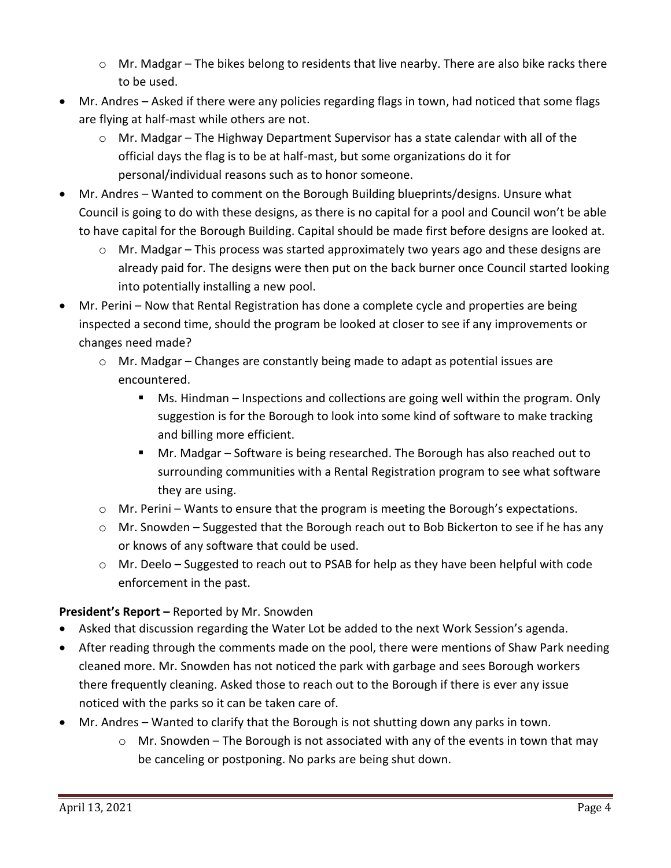- $\circ$  Mr. Madgar The bikes belong to residents that live nearby. There are also bike racks there to be used.
- Mr. Andres Asked if there were any policies regarding flags in town, had noticed that some flags are flying at half-mast while others are not.
	- o Mr. Madgar The Highway Department Supervisor has a state calendar with all of the official days the flag is to be at half-mast, but some organizations do it for personal/individual reasons such as to honor someone.
- Mr. Andres Wanted to comment on the Borough Building blueprints/designs. Unsure what Council is going to do with these designs, as there is no capital for a pool and Council won't be able to have capital for the Borough Building. Capital should be made first before designs are looked at.
	- $\circ$  Mr. Madgar This process was started approximately two years ago and these designs are already paid for. The designs were then put on the back burner once Council started looking into potentially installing a new pool.
- Mr. Perini Now that Rental Registration has done a complete cycle and properties are being inspected a second time, should the program be looked at closer to see if any improvements or changes need made?
	- o Mr. Madgar Changes are constantly being made to adapt as potential issues are encountered.
		- **Ms. Hindman Inspections and collections are going well within the program. Only** suggestion is for the Borough to look into some kind of software to make tracking and billing more efficient.
		- Mr. Madgar Software is being researched. The Borough has also reached out to surrounding communities with a Rental Registration program to see what software they are using.
	- $\circ$  Mr. Perini Wants to ensure that the program is meeting the Borough's expectations.
	- $\circ$  Mr. Snowden Suggested that the Borough reach out to Bob Bickerton to see if he has any or knows of any software that could be used.
	- $\circ$  Mr. Deelo Suggested to reach out to PSAB for help as they have been helpful with code enforcement in the past.

# **President's Report –** Reported by Mr. Snowden

- Asked that discussion regarding the Water Lot be added to the next Work Session's agenda.
- After reading through the comments made on the pool, there were mentions of Shaw Park needing cleaned more. Mr. Snowden has not noticed the park with garbage and sees Borough workers there frequently cleaning. Asked those to reach out to the Borough if there is ever any issue noticed with the parks so it can be taken care of.
- Mr. Andres Wanted to clarify that the Borough is not shutting down any parks in town.
	- $\circ$  Mr. Snowden The Borough is not associated with any of the events in town that may be canceling or postponing. No parks are being shut down.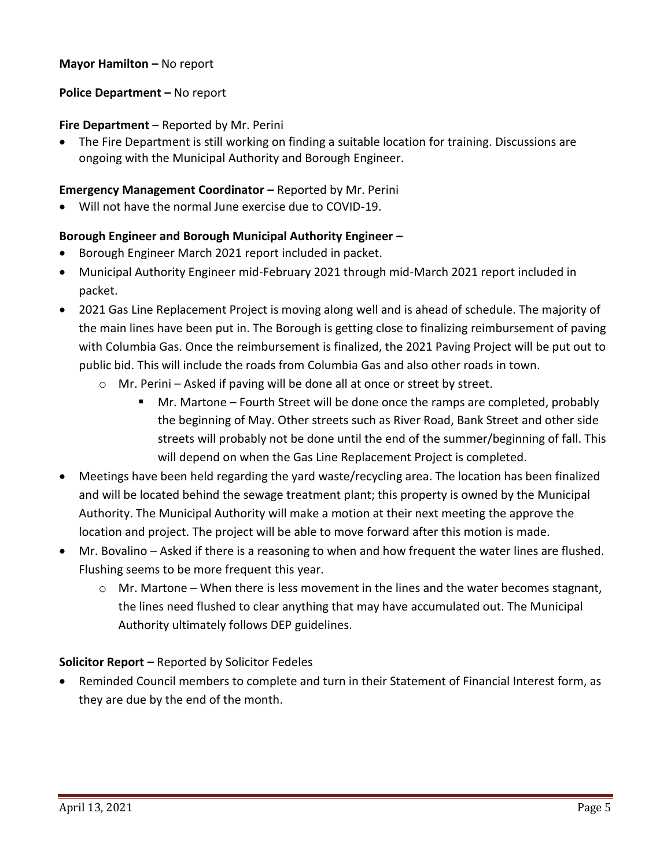### **Mayor Hamilton - No report**

### **Police Department – No report**

### **Fire Department** – Reported by Mr. Perini

 The Fire Department is still working on finding a suitable location for training. Discussions are ongoing with the Municipal Authority and Borough Engineer.

### **Emergency Management Coordinator –** Reported by Mr. Perini

Will not have the normal June exercise due to COVID-19.

### **Borough Engineer and Borough Municipal Authority Engineer –**

- Borough Engineer March 2021 report included in packet.
- Municipal Authority Engineer mid-February 2021 through mid-March 2021 report included in packet.
- 2021 Gas Line Replacement Project is moving along well and is ahead of schedule. The majority of the main lines have been put in. The Borough is getting close to finalizing reimbursement of paving with Columbia Gas. Once the reimbursement is finalized, the 2021 Paving Project will be put out to public bid. This will include the roads from Columbia Gas and also other roads in town.
	- o Mr. Perini Asked if paving will be done all at once or street by street.
		- Mr. Martone Fourth Street will be done once the ramps are completed, probably the beginning of May. Other streets such as River Road, Bank Street and other side streets will probably not be done until the end of the summer/beginning of fall. This will depend on when the Gas Line Replacement Project is completed.
- Meetings have been held regarding the yard waste/recycling area. The location has been finalized and will be located behind the sewage treatment plant; this property is owned by the Municipal Authority. The Municipal Authority will make a motion at their next meeting the approve the location and project. The project will be able to move forward after this motion is made.
- Mr. Bovalino Asked if there is a reasoning to when and how frequent the water lines are flushed. Flushing seems to be more frequent this year.
	- $\circ$  Mr. Martone When there is less movement in the lines and the water becomes stagnant, the lines need flushed to clear anything that may have accumulated out. The Municipal Authority ultimately follows DEP guidelines.

# **Solicitor Report –** Reported by Solicitor Fedeles

 Reminded Council members to complete and turn in their Statement of Financial Interest form, as they are due by the end of the month.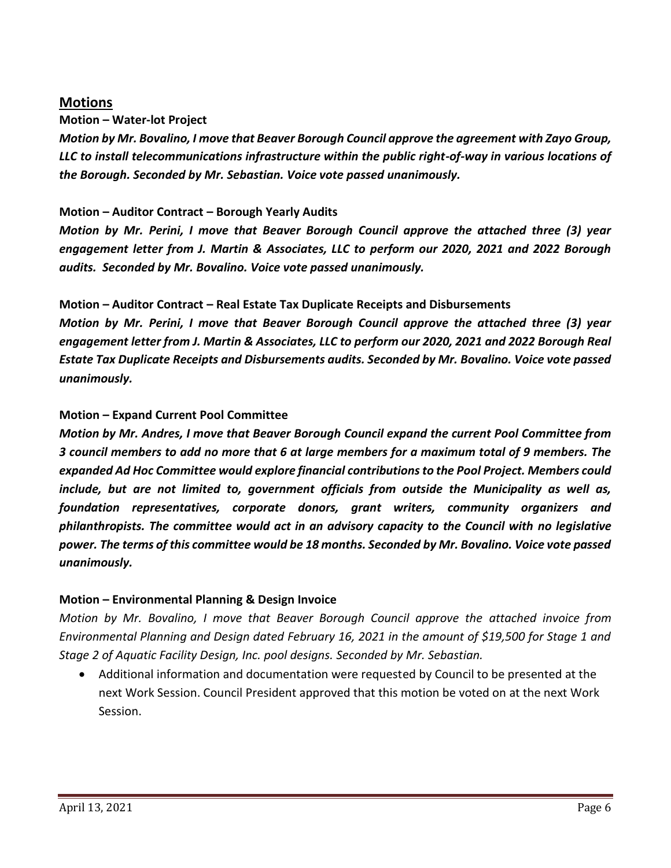# **Motions**

**Motion – Water-lot Project**

*Motion by Mr. Bovalino, I move that Beaver Borough Council approve the agreement with Zayo Group, LLC to install telecommunications infrastructure within the public right-of-way in various locations of the Borough. Seconded by Mr. Sebastian. Voice vote passed unanimously.*

# **Motion – Auditor Contract – Borough Yearly Audits**

*Motion by Mr. Perini, I move that Beaver Borough Council approve the attached three (3) year engagement letter from J. Martin & Associates, LLC to perform our 2020, 2021 and 2022 Borough audits. Seconded by Mr. Bovalino. Voice vote passed unanimously.*

# **Motion – Auditor Contract – Real Estate Tax Duplicate Receipts and Disbursements**

*Motion by Mr. Perini, I move that Beaver Borough Council approve the attached three (3) year engagement letter from J. Martin & Associates, LLC to perform our 2020, 2021 and 2022 Borough Real Estate Tax Duplicate Receipts and Disbursements audits. Seconded by Mr. Bovalino. Voice vote passed unanimously.*

# **Motion – Expand Current Pool Committee**

*Motion by Mr. Andres, I move that Beaver Borough Council expand the current Pool Committee from 3 council members to add no more that 6 at large members for a maximum total of 9 members. The expanded Ad Hoc Committee would explore financial contributions to the Pool Project. Members could include, but are not limited to, government officials from outside the Municipality as well as, foundation representatives, corporate donors, grant writers, community organizers and philanthropists. The committee would act in an advisory capacity to the Council with no legislative power. The terms of this committee would be 18 months. Seconded by Mr. Bovalino. Voice vote passed unanimously.*

# **Motion – Environmental Planning & Design Invoice**

*Motion by Mr. Bovalino, I move that Beaver Borough Council approve the attached invoice from Environmental Planning and Design dated February 16, 2021 in the amount of \$19,500 for Stage 1 and Stage 2 of Aquatic Facility Design, Inc. pool designs. Seconded by Mr. Sebastian.*

 Additional information and documentation were requested by Council to be presented at the next Work Session. Council President approved that this motion be voted on at the next Work Session.